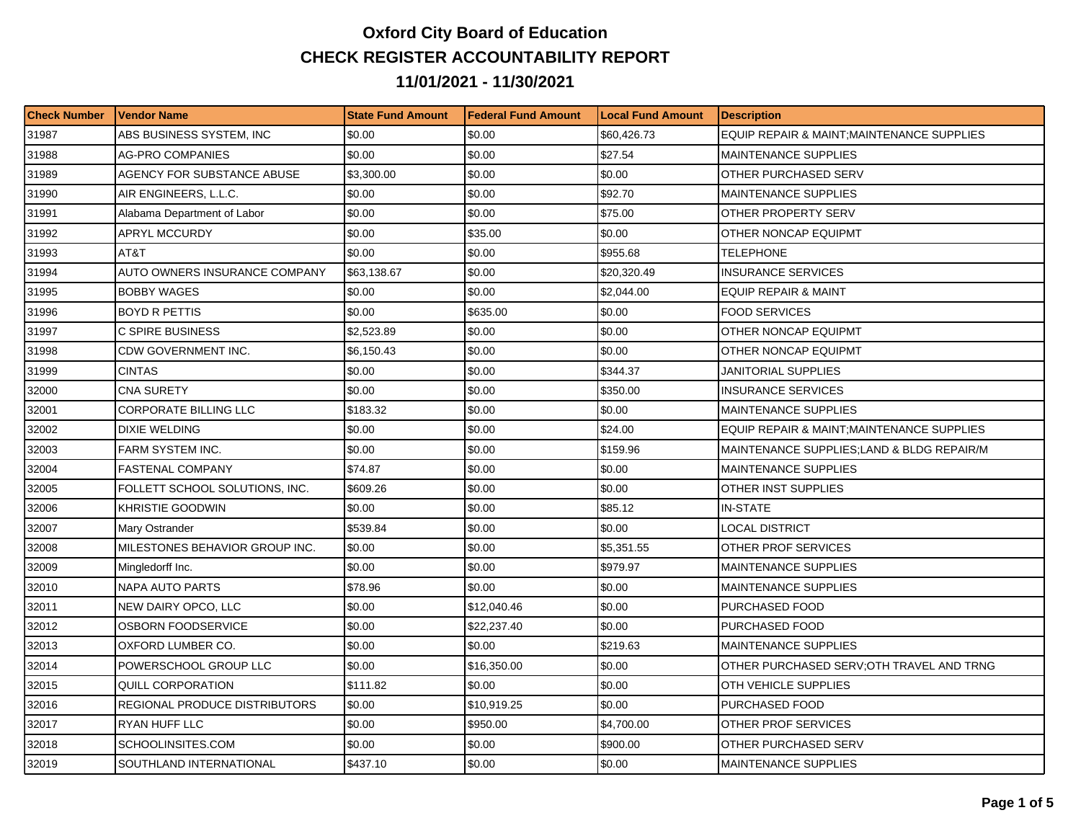## **Oxford City Board of Education CHECK REGISTER ACCOUNTABILITY REPORT 11/01/2021 - 11/30/2021**

| <b>Check Number</b> | l Vendor Name                  | <b>State Fund Amount</b> | Federal Fund Amount | <b>Local Fund Amount</b> | <b>Description</b>                         |
|---------------------|--------------------------------|--------------------------|---------------------|--------------------------|--------------------------------------------|
| 31987               | ABS BUSINESS SYSTEM, INC       | \$0.00                   | \$0.00              | \$60.426.73              | EQUIP REPAIR & MAINT;MAINTENANCE SUPPLIES  |
| 31988               | <b>AG-PRO COMPANIES</b>        | \$0.00                   | \$0.00              | \$27.54                  | <b>MAINTENANCE SUPPLIES</b>                |
| 31989               | AGENCY FOR SUBSTANCE ABUSE     | \$3,300.00               | \$0.00              | \$0.00                   | OTHER PURCHASED SERV                       |
| 31990               | AIR ENGINEERS, L.L.C.          | \$0.00                   | \$0.00              | \$92.70                  | <b>MAINTENANCE SUPPLIES</b>                |
| 31991               | Alabama Department of Labor    | \$0.00                   | \$0.00              | \$75.00                  | OTHER PROPERTY SERV                        |
| 31992               | APRYL MCCURDY                  | \$0.00                   | \$35.00             | \$0.00                   | OTHER NONCAP EQUIPMT                       |
| 31993               | AT&T                           | \$0.00                   | \$0.00              | \$955.68                 | <b>TELEPHONE</b>                           |
| 31994               | AUTO OWNERS INSURANCE COMPANY  | \$63,138.67              | \$0.00              | \$20.320.49              | <b>INSURANCE SERVICES</b>                  |
| 31995               | <b>BOBBY WAGES</b>             | \$0.00                   | \$0.00              | \$2,044.00               | <b>EQUIP REPAIR &amp; MAINT</b>            |
| 31996               | <b>BOYD R PETTIS</b>           | \$0.00                   | \$635.00            | \$0.00                   | <b>FOOD SERVICES</b>                       |
| 31997               | C SPIRE BUSINESS               | \$2,523.89               | \$0.00              | \$0.00                   | OTHER NONCAP EQUIPMT                       |
| 31998               | CDW GOVERNMENT INC.            | \$6,150.43               | \$0.00              | \$0.00                   | OTHER NONCAP EQUIPMT                       |
| 31999               | <b>CINTAS</b>                  | \$0.00                   | \$0.00              | \$344.37                 | JANITORIAL SUPPLIES                        |
| 32000               | <b>CNA SURETY</b>              | \$0.00                   | \$0.00              | \$350.00                 | <b>INSURANCE SERVICES</b>                  |
| 32001               | <b>CORPORATE BILLING LLC</b>   | \$183.32                 | \$0.00              | \$0.00                   | <b>MAINTENANCE SUPPLIES</b>                |
| 32002               | DIXIE WELDING                  | \$0.00                   | \$0.00              | \$24.00                  | EQUIP REPAIR & MAINT; MAINTENANCE SUPPLIES |
| 32003               | FARM SYSTEM INC.               | \$0.00                   | \$0.00              | \$159.96                 | MAINTENANCE SUPPLIES; LAND & BLDG REPAIR/M |
| 32004               | <b>FASTENAL COMPANY</b>        | \$74.87                  | \$0.00              | \$0.00                   | <b>MAINTENANCE SUPPLIES</b>                |
| 32005               | FOLLETT SCHOOL SOLUTIONS. INC. | \$609.26                 | \$0.00              | \$0.00                   | OTHER INST SUPPLIES                        |
| 32006               | KHRISTIE GOODWIN               | \$0.00                   | \$0.00              | \$85.12                  | <b>IN-STATE</b>                            |
| 32007               | Mary Ostrander                 | \$539.84                 | \$0.00              | \$0.00                   | LOCAL DISTRICT                             |
| 32008               | MILESTONES BEHAVIOR GROUP INC. | \$0.00                   | \$0.00              | \$5,351.55               | OTHER PROF SERVICES                        |
| 32009               | Mingledorff Inc.               | \$0.00                   | \$0.00              | \$979.97                 | <b>MAINTENANCE SUPPLIES</b>                |
| 32010               | <b>NAPA AUTO PARTS</b>         | \$78.96                  | \$0.00              | \$0.00                   | <b>MAINTENANCE SUPPLIES</b>                |
| 32011               | NEW DAIRY OPCO, LLC            | \$0.00                   | \$12,040.46         | \$0.00                   | PURCHASED FOOD                             |
| 32012               | OSBORN FOODSERVICE             | \$0.00                   | \$22,237.40         | \$0.00                   | PURCHASED FOOD                             |
| 32013               | OXFORD LUMBER CO.              | \$0.00                   | \$0.00              | \$219.63                 | <b>MAINTENANCE SUPPLIES</b>                |
| 32014               | POWERSCHOOL GROUP LLC          | \$0.00                   | \$16,350.00         | \$0.00                   | OTHER PURCHASED SERV;OTH TRAVEL AND TRNG   |
| 32015               | QUILL CORPORATION              | \$111.82                 | \$0.00              | \$0.00                   | OTH VEHICLE SUPPLIES                       |
| 32016               | REGIONAL PRODUCE DISTRIBUTORS  | \$0.00                   | \$10,919.25         | \$0.00                   | PURCHASED FOOD                             |
| 32017               | RYAN HUFF LLC                  | \$0.00                   | \$950.00            | \$4,700.00               | OTHER PROF SERVICES                        |
| 32018               | SCHOOLINSITES.COM              | \$0.00                   | \$0.00              | \$900.00                 | OTHER PURCHASED SERV                       |
| 32019               | SOUTHLAND INTERNATIONAL        | \$437.10                 | \$0.00              | \$0.00                   | <b>MAINTENANCE SUPPLIES</b>                |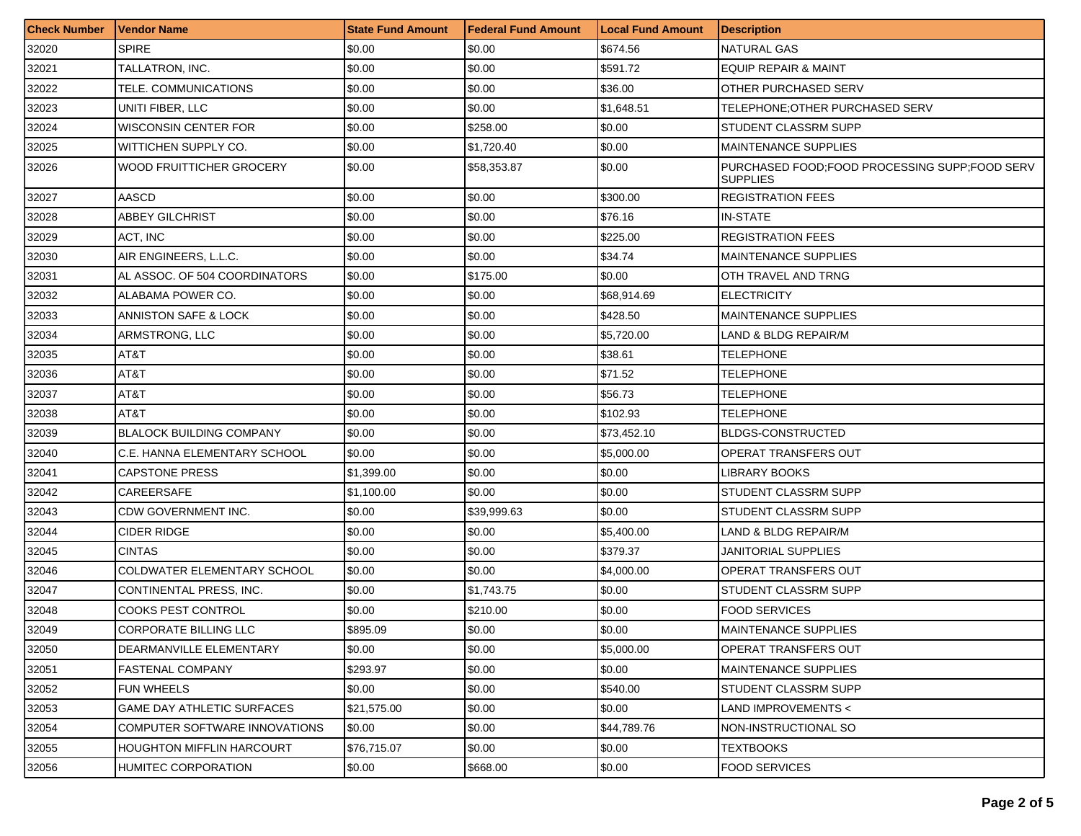| <b>Check Number</b> | l Vendor Name                     | <b>State Fund Amount</b> | <b>Federal Fund Amount</b> | <b>Local Fund Amount</b> | <b>Description</b>                                                 |
|---------------------|-----------------------------------|--------------------------|----------------------------|--------------------------|--------------------------------------------------------------------|
| 32020               | <b>SPIRE</b>                      | \$0.00                   | \$0.00                     | \$674.56                 | <b>NATURAL GAS</b>                                                 |
| 32021               | TALLATRON, INC.                   | \$0.00                   | \$0.00                     | \$591.72                 | <b>EQUIP REPAIR &amp; MAINT</b>                                    |
| 32022               | TELE. COMMUNICATIONS              | \$0.00                   | \$0.00                     | \$36.00                  | OTHER PURCHASED SERV                                               |
| 32023               | UNITI FIBER. LLC                  | \$0.00                   | \$0.00                     | \$1,648.51               | TELEPHONE; OTHER PURCHASED SERV                                    |
| 32024               | WISCONSIN CENTER FOR              | \$0.00                   | \$258.00                   | \$0.00                   | STUDENT CLASSRM SUPP                                               |
| 32025               | WITTICHEN SUPPLY CO.              | \$0.00                   | \$1,720.40                 | \$0.00                   | <b>MAINTENANCE SUPPLIES</b>                                        |
| 32026               | <b>WOOD FRUITTICHER GROCERY</b>   | \$0.00                   | \$58,353.87                | \$0.00                   | PURCHASED FOOD: FOOD PROCESSING SUPP: FOOD SERV<br><b>SUPPLIES</b> |
| 32027               | AASCD                             | \$0.00                   | \$0.00                     | \$300.00                 | <b>REGISTRATION FEES</b>                                           |
| 32028               | <b>ABBEY GILCHRIST</b>            | \$0.00                   | \$0.00                     | \$76.16                  | <b>IN-STATE</b>                                                    |
| 32029               | ACT, INC                          | \$0.00                   | \$0.00                     | \$225.00                 | <b>REGISTRATION FEES</b>                                           |
| 32030               | AIR ENGINEERS, L.L.C.             | \$0.00                   | \$0.00                     | \$34.74                  | <b>MAINTENANCE SUPPLIES</b>                                        |
| 32031               | AL ASSOC. OF 504 COORDINATORS     | \$0.00                   | \$175.00                   | \$0.00                   | OTH TRAVEL AND TRNG                                                |
| 32032               | ALABAMA POWER CO.                 | \$0.00                   | \$0.00                     | \$68.914.69              | <b>ELECTRICITY</b>                                                 |
| 32033               | ANNISTON SAFE & LOCK              | \$0.00                   | \$0.00                     | \$428.50                 | <b>MAINTENANCE SUPPLIES</b>                                        |
| 32034               | ARMSTRONG, LLC                    | \$0.00                   | \$0.00                     | \$5,720.00               | LAND & BLDG REPAIR/M                                               |
| 32035               | AT&T                              | \$0.00                   | \$0.00                     | \$38.61                  | TELEPHONE                                                          |
| 32036               | AT&T                              | \$0.00                   | \$0.00                     | \$71.52                  | TELEPHONE                                                          |
| 32037               | AT&T                              | \$0.00                   | \$0.00                     | \$56.73                  | TELEPHONE                                                          |
| 32038               | AT&T                              | \$0.00                   | \$0.00                     | \$102.93                 | TELEPHONE                                                          |
| 32039               | <b>BLALOCK BUILDING COMPANY</b>   | \$0.00                   | \$0.00                     | \$73,452.10              | <b>BLDGS-CONSTRUCTED</b>                                           |
| 32040               | C.E. HANNA ELEMENTARY SCHOOL      | \$0.00                   | \$0.00                     | \$5,000.00               | OPERAT TRANSFERS OUT                                               |
| 32041               | <b>CAPSTONE PRESS</b>             | \$1,399.00               | \$0.00                     | \$0.00                   | LIBRARY BOOKS                                                      |
| 32042               | CAREERSAFE                        | \$1,100.00               | \$0.00                     | \$0.00                   | STUDENT CLASSRM SUPP                                               |
| 32043               | CDW GOVERNMENT INC.               | \$0.00                   | \$39,999.63                | \$0.00                   | STUDENT CLASSRM SUPP                                               |
| 32044               | <b>CIDER RIDGE</b>                | \$0.00                   | \$0.00                     | \$5,400.00               | LAND & BLDG REPAIR/M                                               |
| 32045               | <b>CINTAS</b>                     | \$0.00                   | \$0.00                     | \$379.37                 | JANITORIAL SUPPLIES                                                |
| 32046               | COLDWATER ELEMENTARY SCHOOL       | \$0.00                   | \$0.00                     | \$4,000.00               | <b>OPERAT TRANSFERS OUT</b>                                        |
| 32047               | CONTINENTAL PRESS. INC.           | \$0.00                   | \$1,743.75                 | \$0.00                   | STUDENT CLASSRM SUPP                                               |
| 32048               | COOKS PEST CONTROL                | \$0.00                   | \$210.00                   | \$0.00                   | <b>FOOD SERVICES</b>                                               |
| 32049               | CORPORATE BILLING LLC             | \$895.09                 | \$0.00                     | \$0.00                   | MAINTENANCE SUPPLIES                                               |
| 32050               | DEARMANVILLE ELEMENTARY           | \$0.00                   | \$0.00                     | \$5,000.00               | OPERAT TRANSFERS OUT                                               |
| 32051               | <b>FASTENAL COMPANY</b>           | \$293.97                 | \$0.00                     | \$0.00                   | <b>MAINTENANCE SUPPLIES</b>                                        |
| 32052               | FUN WHEELS                        | \$0.00                   | \$0.00                     | \$540.00                 | STUDENT CLASSRM SUPP                                               |
| 32053               | <b>GAME DAY ATHLETIC SURFACES</b> | \$21,575.00              | \$0.00                     | \$0.00                   | LAND IMPROVEMENTS <                                                |
| 32054               | COMPUTER SOFTWARE INNOVATIONS     | \$0.00                   | \$0.00                     | \$44,789.76              | NON-INSTRUCTIONAL SO                                               |
| 32055               | HOUGHTON MIFFLIN HARCOURT         | \$76,715.07              | \$0.00                     | \$0.00                   | TEXTBOOKS                                                          |
| 32056               | HUMITEC CORPORATION               | \$0.00                   | \$668.00                   | \$0.00                   | <b>FOOD SERVICES</b>                                               |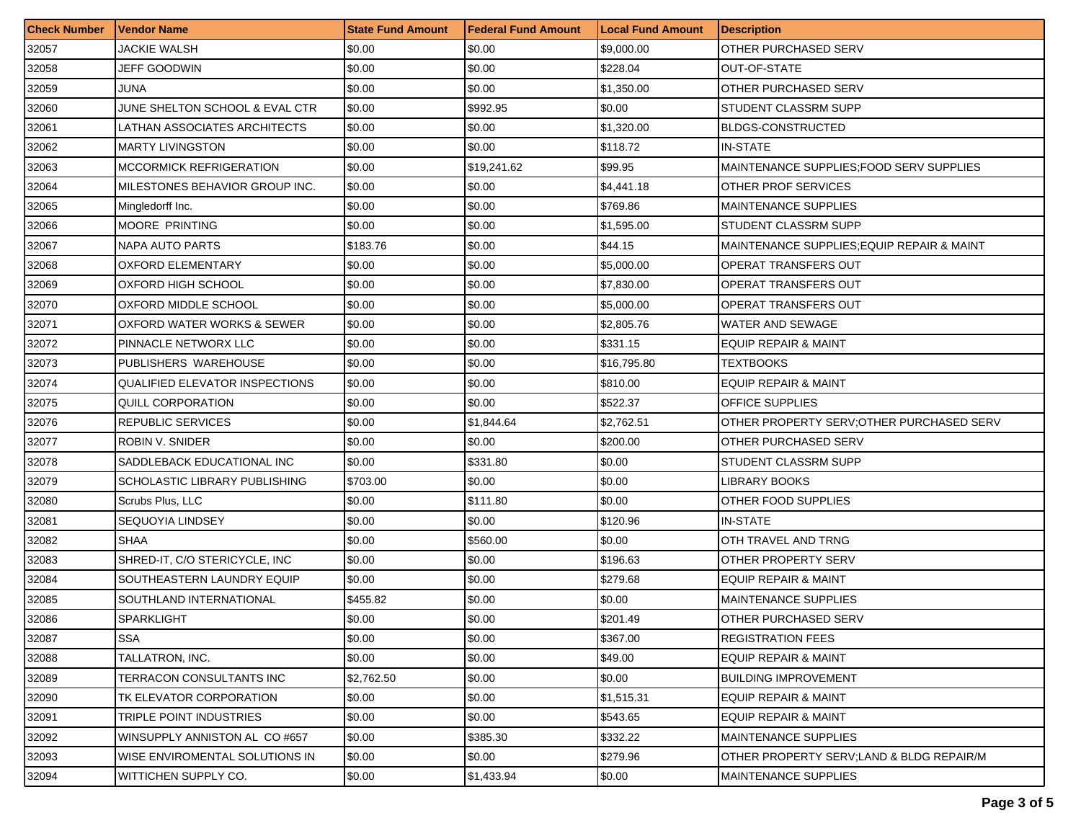| <b>Check Number</b> | Vendor Name                           | <b>State Fund Amount</b> | <b>Federal Fund Amount</b> | <b>Local Fund Amount</b> | <b>Description</b>                         |
|---------------------|---------------------------------------|--------------------------|----------------------------|--------------------------|--------------------------------------------|
| 32057               | <b>JACKIE WALSH</b>                   | \$0.00                   | \$0.00                     | \$9,000.00               | OTHER PURCHASED SERV                       |
| 32058               | JEFF GOODWIN                          | \$0.00                   | \$0.00                     | \$228.04                 | OUT-OF-STATE                               |
| 32059               | JUNA                                  | \$0.00                   | \$0.00                     | \$1,350.00               | OTHER PURCHASED SERV                       |
| 32060               | JUNE SHELTON SCHOOL & EVAL CTR        | \$0.00                   | \$992.95                   | \$0.00                   | STUDENT CLASSRM SUPP                       |
| 32061               | LATHAN ASSOCIATES ARCHITECTS          | \$0.00                   | \$0.00                     | \$1,320.00               | <b>BLDGS-CONSTRUCTED</b>                   |
| 32062               | <b>MARTY LIVINGSTON</b>               | \$0.00                   | \$0.00                     | \$118.72                 | <b>IN-STATE</b>                            |
| 32063               | <b>MCCORMICK REFRIGERATION</b>        | \$0.00                   | \$19,241.62                | \$99.95                  | MAINTENANCE SUPPLIES FOOD SERV SUPPLIES    |
| 32064               | MILESTONES BEHAVIOR GROUP INC.        | \$0.00                   | \$0.00                     | \$4,441.18               | OTHER PROF SERVICES                        |
| 32065               | Mingledorff Inc.                      | \$0.00                   | \$0.00                     | \$769.86                 | <b>MAINTENANCE SUPPLIES</b>                |
| 32066               | <b>MOORE PRINTING</b>                 | \$0.00                   | \$0.00                     | \$1,595.00               | STUDENT CLASSRM SUPP                       |
| 32067               | NAPA AUTO PARTS                       | \$183.76                 | \$0.00                     | \$44.15                  | MAINTENANCE SUPPLIES; EQUIP REPAIR & MAINT |
| 32068               | <b>OXFORD ELEMENTARY</b>              | \$0.00                   | \$0.00                     | \$5,000.00               | OPERAT TRANSFERS OUT                       |
| 32069               | OXFORD HIGH SCHOOL                    | \$0.00                   | \$0.00                     | \$7,830.00               | OPERAT TRANSFERS OUT                       |
| 32070               | OXFORD MIDDLE SCHOOL                  | \$0.00                   | \$0.00                     | \$5,000.00               | OPERAT TRANSFERS OUT                       |
| 32071               | OXFORD WATER WORKS & SEWER            | \$0.00                   | \$0.00                     | \$2,805.76               | WATER AND SEWAGE                           |
| 32072               | PINNACLE NETWORX LLC                  | \$0.00                   | \$0.00                     | \$331.15                 | <b>EQUIP REPAIR &amp; MAINT</b>            |
| 32073               | PUBLISHERS WAREHOUSE                  | \$0.00                   | \$0.00                     | \$16,795.80              | TEXTBOOKS                                  |
| 32074               | <b>QUALIFIED ELEVATOR INSPECTIONS</b> | \$0.00                   | \$0.00                     | \$810.00                 | <b>EQUIP REPAIR &amp; MAINT</b>            |
| 32075               | QUILL CORPORATION                     | \$0.00                   | \$0.00                     | \$522.37                 | OFFICE SUPPLIES                            |
| 32076               | REPUBLIC SERVICES                     | \$0.00                   | \$1,844.64                 | \$2,762.51               | OTHER PROPERTY SERV; OTHER PURCHASED SERV  |
| 32077               | <b>ROBIN V. SNIDER</b>                | \$0.00                   | \$0.00                     | \$200.00                 | <b>OTHER PURCHASED SERV</b>                |
| 32078               | SADDLEBACK EDUCATIONAL INC            | \$0.00                   | \$331.80                   | \$0.00                   | STUDENT CLASSRM SUPP                       |
| 32079               | SCHOLASTIC LIBRARY PUBLISHING         | \$703.00                 | \$0.00                     | \$0.00                   | LIBRARY BOOKS                              |
| 32080               | Scrubs Plus, LLC                      | \$0.00                   | \$111.80                   | \$0.00                   | OTHER FOOD SUPPLIES                        |
| 32081               | SEQUOYIA LINDSEY                      | \$0.00                   | \$0.00                     | \$120.96                 | IN-STATE                                   |
| 32082               | <b>SHAA</b>                           | \$0.00                   | \$560.00                   | \$0.00                   | OTH TRAVEL AND TRNG                        |
| 32083               | SHRED-IT, C/O STERICYCLE, INC         | \$0.00                   | \$0.00                     | \$196.63                 | OTHER PROPERTY SERV                        |
| 32084               | SOUTHEASTERN LAUNDRY EQUIP            | \$0.00                   | \$0.00                     | \$279.68                 | <b>EQUIP REPAIR &amp; MAINT</b>            |
| 32085               | SOUTHLAND INTERNATIONAL               | \$455.82                 | \$0.00                     | \$0.00                   | <b>MAINTENANCE SUPPLIES</b>                |
| 32086               | SPARKLIGHT                            | \$0.00                   | \$0.00                     | \$201.49                 | OTHER PURCHASED SERV                       |
| 32087               | <b>SSA</b>                            | \$0.00                   | \$0.00                     | \$367.00                 | <b>REGISTRATION FEES</b>                   |
| 32088               | TALLATRON, INC.                       | \$0.00                   | \$0.00                     | \$49.00                  | <b>EQUIP REPAIR &amp; MAINT</b>            |
| 32089               | TERRACON CONSULTANTS INC              | \$2,762.50               | \$0.00                     | \$0.00                   | <b>BUILDING IMPROVEMENT</b>                |
| 32090               | TK ELEVATOR CORPORATION               | \$0.00                   | \$0.00                     | \$1,515.31               | <b>EQUIP REPAIR &amp; MAINT</b>            |
| 32091               | TRIPLE POINT INDUSTRIES               | \$0.00                   | \$0.00                     | \$543.65                 | <b>EQUIP REPAIR &amp; MAINT</b>            |
| 32092               | WINSUPPLY ANNISTON AL CO #657         | \$0.00                   | \$385.30                   | \$332.22                 | <b>MAINTENANCE SUPPLIES</b>                |
| 32093               | WISE ENVIROMENTAL SOLUTIONS IN        | \$0.00                   | \$0.00                     | \$279.96                 | OTHER PROPERTY SERV;LAND & BLDG REPAIR/M   |
| 32094               | WITTICHEN SUPPLY CO.                  | \$0.00                   | \$1,433.94                 | \$0.00                   | <b>MAINTENANCE SUPPLIES</b>                |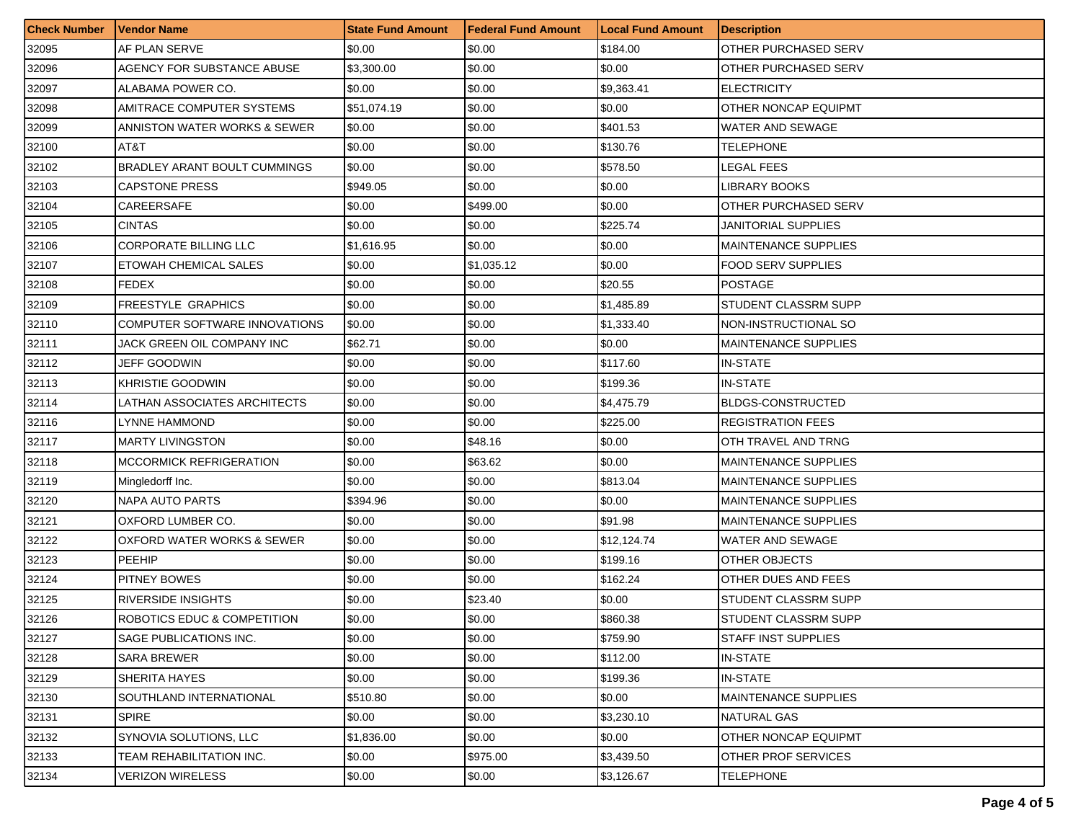| <b>Check Number</b> | <b>Vendor Name</b>            | <b>State Fund Amount</b> | l Federal Fund Amount | <b>Local Fund Amount</b> | <b>Description</b>          |
|---------------------|-------------------------------|--------------------------|-----------------------|--------------------------|-----------------------------|
| 32095               | AF PLAN SERVE                 | \$0.00                   | \$0.00                | \$184.00                 | OTHER PURCHASED SERV        |
| 32096               | AGENCY FOR SUBSTANCE ABUSE    | \$3,300.00               | \$0.00                | \$0.00                   | OTHER PURCHASED SERV        |
| 32097               | ALABAMA POWER CO.             | \$0.00                   | \$0.00                | \$9,363.41               | <b>ELECTRICITY</b>          |
| 32098               | AMITRACE COMPUTER SYSTEMS     | \$51,074.19              | \$0.00                | \$0.00                   | OTHER NONCAP EQUIPMT        |
| 32099               | ANNISTON WATER WORKS & SEWER  | \$0.00                   | \$0.00                | \$401.53                 | WATER AND SEWAGE            |
| 32100               | AT&T                          | \$0.00                   | \$0.00                | \$130.76                 | <b>TELEPHONE</b>            |
| 32102               | BRADLEY ARANT BOULT CUMMINGS  | \$0.00                   | \$0.00                | \$578.50                 | LEGAL FEES                  |
| 32103               | <b>CAPSTONE PRESS</b>         | \$949.05                 | \$0.00                | \$0.00                   | LIBRARY BOOKS               |
| 32104               | CAREERSAFE                    | \$0.00                   | \$499.00              | \$0.00                   | OTHER PURCHASED SERV        |
| 32105               | <b>CINTAS</b>                 | \$0.00                   | \$0.00                | \$225.74                 | JANITORIAL SUPPLIES         |
| 32106               | <b>CORPORATE BILLING LLC</b>  | \$1,616.95               | \$0.00                | \$0.00                   | <b>MAINTENANCE SUPPLIES</b> |
| 32107               | ETOWAH CHEMICAL SALES         | \$0.00                   | \$1,035.12            | \$0.00                   | FOOD SERV SUPPLIES          |
| 32108               | <b>FEDEX</b>                  | \$0.00                   | $\$0.00$              | \$20.55                  | <b>POSTAGE</b>              |
| 32109               | <b>FREESTYLE GRAPHICS</b>     | \$0.00                   | \$0.00                | \$1,485.89               | <b>STUDENT CLASSRM SUPP</b> |
| 32110               | COMPUTER SOFTWARE INNOVATIONS | \$0.00                   | \$0.00                | \$1,333.40               | NON-INSTRUCTIONAL SO        |
| 32111               | JACK GREEN OIL COMPANY INC    | \$62.71                  | \$0.00                | \$0.00                   | <b>MAINTENANCE SUPPLIES</b> |
| 32112               | JEFF GOODWIN                  | \$0.00                   | \$0.00                | \$117.60                 | <b>IN-STATE</b>             |
| 32113               | KHRISTIE GOODWIN              | \$0.00                   | \$0.00                | \$199.36                 | <b>IN-STATE</b>             |
| 32114               | LATHAN ASSOCIATES ARCHITECTS  | \$0.00                   | \$0.00                | \$4,475.79               | <b>BLDGS-CONSTRUCTED</b>    |
| 32116               | LYNNE HAMMOND                 | \$0.00                   | \$0.00                | \$225.00                 | <b>REGISTRATION FEES</b>    |
| 32117               | <b>MARTY LIVINGSTON</b>       | \$0.00                   | \$48.16               | \$0.00                   | OTH TRAVEL AND TRNG         |
| 32118               | MCCORMICK REFRIGERATION       | \$0.00                   | \$63.62               | \$0.00                   | <b>MAINTENANCE SUPPLIES</b> |
| 32119               | Mingledorff Inc.              | \$0.00                   | \$0.00                | \$813.04                 | <b>MAINTENANCE SUPPLIES</b> |
| 32120               | NAPA AUTO PARTS               | \$394.96                 | \$0.00                | \$0.00                   | <b>MAINTENANCE SUPPLIES</b> |
| 32121               | OXFORD LUMBER CO.             | \$0.00                   | \$0.00                | \$91.98                  | <b>MAINTENANCE SUPPLIES</b> |
| 32122               | OXFORD WATER WORKS & SEWER    | \$0.00                   | \$0.00                | \$12,124.74              | WATER AND SEWAGE            |
| 32123               | PEEHIP                        | \$0.00                   | \$0.00                | \$199.16                 | OTHER OBJECTS               |
| 32124               | <b>PITNEY BOWES</b>           | \$0.00                   | \$0.00                | \$162.24                 | OTHER DUES AND FEES         |
| 32125               | <b>RIVERSIDE INSIGHTS</b>     | \$0.00                   | \$23.40               | \$0.00                   | STUDENT CLASSRM SUPP        |
| 32126               | ROBOTICS EDUC & COMPETITION   | \$0.00                   | \$0.00                | \$860.38                 | STUDENT CLASSRM SUPP        |
| 32127               | <b>SAGE PUBLICATIONS INC.</b> | \$0.00                   | \$0.00                | \$759.90                 | <b>STAFF INST SUPPLIES</b>  |
| 32128               | <b>SARA BREWER</b>            | \$0.00                   | \$0.00                | \$112.00                 | <b>IN-STATE</b>             |
| 32129               | SHERITA HAYES                 | \$0.00                   | \$0.00                | \$199.36                 | <b>IN-STATE</b>             |
| 32130               | SOUTHLAND INTERNATIONAL       | \$510.80                 | \$0.00                | \$0.00                   | <b>MAINTENANCE SUPPLIES</b> |
| 32131               | <b>SPIRE</b>                  | \$0.00                   | \$0.00                | \$3,230.10               | NATURAL GAS                 |
| 32132               | SYNOVIA SOLUTIONS, LLC        | \$1,836.00               | \$0.00                | \$0.00                   | <b>OTHER NONCAP EQUIPMT</b> |
| 32133               | TEAM REHABILITATION INC.      | \$0.00                   | \$975.00              | \$3,439.50               | <b>OTHER PROF SERVICES</b>  |
| 32134               | <b>VERIZON WIRELESS</b>       | \$0.00                   | \$0.00                | \$3,126.67               | <b>TELEPHONE</b>            |